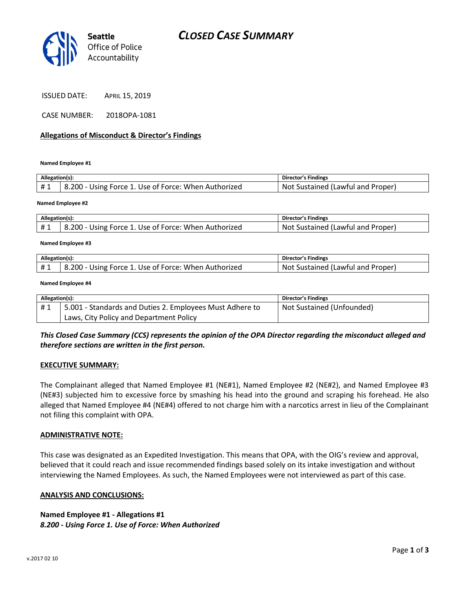

ISSUED DATE: APRIL 15, 2019

CASE NUMBER: 2018OPA-1081

#### **Allegations of Misconduct & Director's Findings**

**Named Employee #1**

| Allegation(s): |                                                      | Director's Findings               |
|----------------|------------------------------------------------------|-----------------------------------|
| #1             | 8.200 - Using Force 1. Use of Force: When Authorized | Not Sustained (Lawful and Proper) |
|                |                                                      |                                   |

**Named Employee #2**

| Allegation(s): |                                                      | Director's Findings                     |
|----------------|------------------------------------------------------|-----------------------------------------|
|                | 8.200 - Using Force 1. Use of Force: When Authorized | Not.<br>: Sustained (Lawful and Proper) |

**Named Employee #3**

| Allegation(s): |                                                     | Director's Findings                     |
|----------------|-----------------------------------------------------|-----------------------------------------|
|                | .200 - Using Force 1. Use of Force: When Authorized | : Sustained (Lawful and Proper)<br>Not. |

**Named Employee #4**

| Allegation(s): |                                                          | <b>Director's Findings</b> |
|----------------|----------------------------------------------------------|----------------------------|
| #1             | 5.001 - Standards and Duties 2. Employees Must Adhere to | Not Sustained (Unfounded)  |
|                | Laws, City Policy and Department Policy                  |                            |

## *This Closed Case Summary (CCS) represents the opinion of the OPA Director regarding the misconduct alleged and therefore sections are written in the first person.*

#### **EXECUTIVE SUMMARY:**

The Complainant alleged that Named Employee #1 (NE#1), Named Employee #2 (NE#2), and Named Employee #3 (NE#3) subjected him to excessive force by smashing his head into the ground and scraping his forehead. He also alleged that Named Employee #4 (NE#4) offered to not charge him with a narcotics arrest in lieu of the Complainant not filing this complaint with OPA.

#### **ADMINISTRATIVE NOTE:**

This case was designated as an Expedited Investigation. This means that OPA, with the OIG's review and approval, believed that it could reach and issue recommended findings based solely on its intake investigation and without interviewing the Named Employees. As such, the Named Employees were not interviewed as part of this case.

#### **ANALYSIS AND CONCLUSIONS:**

**Named Employee #1 - Allegations #1** *8.200 - Using Force 1. Use of Force: When Authorized*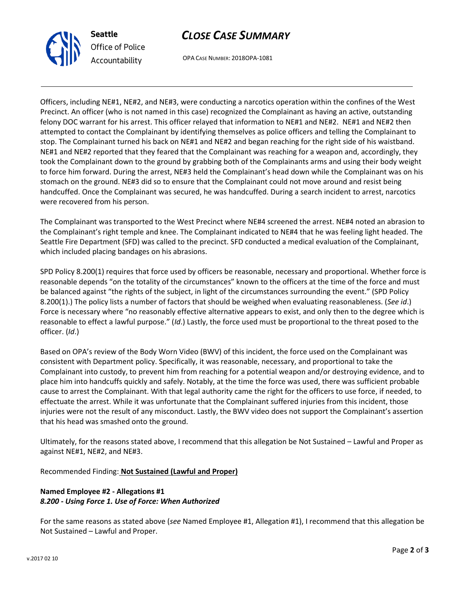



OPA CASE NUMBER: 2018OPA-1081

Officers, including NE#1, NE#2, and NE#3, were conducting a narcotics operation within the confines of the West Precinct. An officer (who is not named in this case) recognized the Complainant as having an active, outstanding felony DOC warrant for his arrest. This officer relayed that information to NE#1 and NE#2. NE#1 and NE#2 then attempted to contact the Complainant by identifying themselves as police officers and telling the Complainant to stop. The Complainant turned his back on NE#1 and NE#2 and began reaching for the right side of his waistband. NE#1 and NE#2 reported that they feared that the Complainant was reaching for a weapon and, accordingly, they took the Complainant down to the ground by grabbing both of the Complainants arms and using their body weight to force him forward. During the arrest, NE#3 held the Complainant's head down while the Complainant was on his stomach on the ground. NE#3 did so to ensure that the Complainant could not move around and resist being handcuffed. Once the Complainant was secured, he was handcuffed. During a search incident to arrest, narcotics were recovered from his person.

The Complainant was transported to the West Precinct where NE#4 screened the arrest. NE#4 noted an abrasion to the Complainant's right temple and knee. The Complainant indicated to NE#4 that he was feeling light headed. The Seattle Fire Department (SFD) was called to the precinct. SFD conducted a medical evaluation of the Complainant, which included placing bandages on his abrasions.

SPD Policy 8.200(1) requires that force used by officers be reasonable, necessary and proportional. Whether force is reasonable depends "on the totality of the circumstances" known to the officers at the time of the force and must be balanced against "the rights of the subject, in light of the circumstances surrounding the event." (SPD Policy 8.200(1).) The policy lists a number of factors that should be weighed when evaluating reasonableness. (*See id*.) Force is necessary where "no reasonably effective alternative appears to exist, and only then to the degree which is reasonable to effect a lawful purpose." (*Id*.) Lastly, the force used must be proportional to the threat posed to the officer. (*Id*.)

Based on OPA's review of the Body Worn Video (BWV) of this incident, the force used on the Complainant was consistent with Department policy. Specifically, it was reasonable, necessary, and proportional to take the Complainant into custody, to prevent him from reaching for a potential weapon and/or destroying evidence, and to place him into handcuffs quickly and safely. Notably, at the time the force was used, there was sufficient probable cause to arrest the Complainant. With that legal authority came the right for the officers to use force, if needed, to effectuate the arrest. While it was unfortunate that the Complainant suffered injuries from this incident, those injuries were not the result of any misconduct. Lastly, the BWV video does not support the Complainant's assertion that his head was smashed onto the ground.

Ultimately, for the reasons stated above, I recommend that this allegation be Not Sustained – Lawful and Proper as against NE#1, NE#2, and NE#3.

Recommended Finding: **Not Sustained (Lawful and Proper)**

# **Named Employee #2 - Allegations #1** *8.200 - Using Force 1. Use of Force: When Authorized*

For the same reasons as stated above (*see* Named Employee #1, Allegation #1), I recommend that this allegation be Not Sustained – Lawful and Proper.